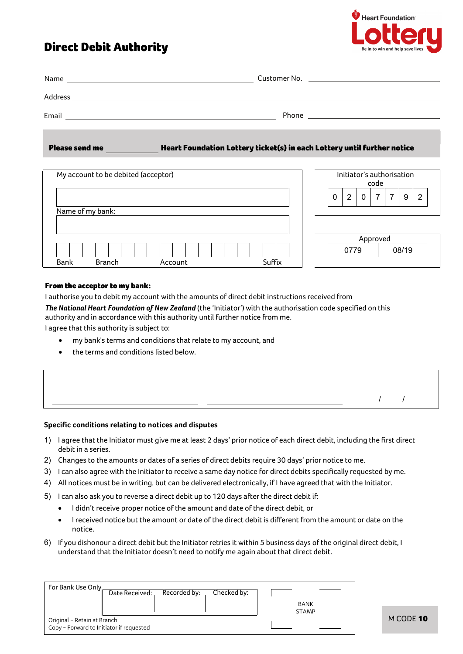# Direct Debit Authority



| Name    | Customer No. <u>_______________________________</u>                                                                                                                                                                                |
|---------|------------------------------------------------------------------------------------------------------------------------------------------------------------------------------------------------------------------------------------|
|         |                                                                                                                                                                                                                                    |
| Address |                                                                                                                                                                                                                                    |
| Email   | Phone <b>Phone Contract Contract Contract Contract Contract Contract Contract Contract Contract Contract Contract Contract Contract Contract Contract Contract Contract Contract Contract Contract Contract Contract Contract </b> |
|         |                                                                                                                                                                                                                                    |

Please send meHeart Foundation Lottery ticket(s) in each Lottery until further notice

| My account to be debited (acceptor) |        | Initiator's authorisation<br>code          |  |  |
|-------------------------------------|--------|--------------------------------------------|--|--|
| Name of my bank:                    |        | 7<br>2<br>$\mathbf{0}$<br>7<br>2<br>9<br>0 |  |  |
| Bank<br><b>Branch</b><br>Account    | Suffix | Approved<br>0779<br>08/19                  |  |  |

## From the acceptor to my bank:

I authorise you to debit my account with the amounts of direct debit instructions received from

*The National Heart Foundation of New Zealand* (the 'Initiator') with the authorisation code specified on this authority and in accordance with this authority until further notice from me.

I agree that this authority is subject to:

- my bank's terms and conditions that relate to my account, and
- the terms and conditions listed below.

| Specific conditions relating to notices and disputes |  |
|------------------------------------------------------|--|

- 1) I agree that the Initiator must give me at least 2 days' prior notice of each direct debit, including the first direct debit in a series.
- 2) Changes to the amounts or dates of a series of direct debits require 30 days' prior notice to me.
- 3) I can also agree with the Initiator to receive a same day notice for direct debits specifically requested by me.
- 4) All notices must be in writing, but can be delivered electronically, if I have agreed that with the Initiator.
- 5) I can also ask you to reverse a direct debit up to 120 days after the direct debit if:
	- I didn't receive proper notice of the amount and date of the direct debit, or
	- I received notice but the amount or date of the direct debit is different from the amount or date on the notice.
- 6) If you dishonour a direct debit but the Initiator retries it within 5 business days of the original direct debit, I understand that the Initiator doesn't need to notify me again about that direct debit.

| For Bank Use Only                                                       |                |              |             |                             |  |
|-------------------------------------------------------------------------|----------------|--------------|-------------|-----------------------------|--|
|                                                                         | Date Received: | Recorded by: | Checked by: |                             |  |
|                                                                         |                |              |             | <b>BANK</b><br><b>STAMP</b> |  |
| Original - Retain at Branch<br>Copy - Forward to Initiator if requested |                |              |             |                             |  |

/ /